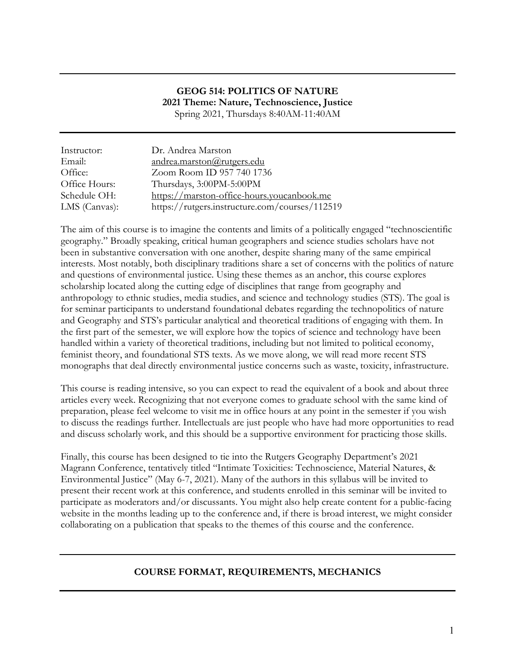#### **GEOG 514: POLITICS OF NATURE 2021 Theme: Nature, Technoscience, Justice** Spring 2021, Thursdays 8:40AM-11:40AM

Instructor: Dr. Andrea Marston Email: andrea.marston@rutgers.edu Office: Zoom Room ID 957 740 1736 Office Hours: Thursdays, 3:00PM-5:00PM Schedule OH: https://marston-office-hours.youcanbook.me LMS (Canvas): https://rutgers.instructure.com/courses/112519

The aim of this course is to imagine the contents and limits of a politically engaged "technoscientific geography." Broadly speaking, critical human geographers and science studies scholars have not been in substantive conversation with one another, despite sharing many of the same empirical interests. Most notably, both disciplinary traditions share a set of concerns with the politics of nature and questions of environmental justice. Using these themes as an anchor, this course explores scholarship located along the cutting edge of disciplines that range from geography and anthropology to ethnic studies, media studies, and science and technology studies (STS). The goal is for seminar participants to understand foundational debates regarding the technopolitics of nature and Geography and STS's particular analytical and theoretical traditions of engaging with them. In the first part of the semester, we will explore how the topics of science and technology have been handled within a variety of theoretical traditions, including but not limited to political economy, feminist theory, and foundational STS texts. As we move along, we will read more recent STS monographs that deal directly environmental justice concerns such as waste, toxicity, infrastructure.

This course is reading intensive, so you can expect to read the equivalent of a book and about three articles every week. Recognizing that not everyone comes to graduate school with the same kind of preparation, please feel welcome to visit me in office hours at any point in the semester if you wish to discuss the readings further. Intellectuals are just people who have had more opportunities to read and discuss scholarly work, and this should be a supportive environment for practicing those skills.

Finally, this course has been designed to tie into the Rutgers Geography Department's 2021 Magrann Conference, tentatively titled "Intimate Toxicities: Technoscience, Material Natures, & Environmental Justice" (May 6-7, 2021). Many of the authors in this syllabus will be invited to present their recent work at this conference, and students enrolled in this seminar will be invited to participate as moderators and/or discussants. You might also help create content for a public-facing website in the months leading up to the conference and, if there is broad interest, we might consider collaborating on a publication that speaks to the themes of this course and the conference.

### **COURSE FORMAT, REQUIREMENTS, MECHANICS**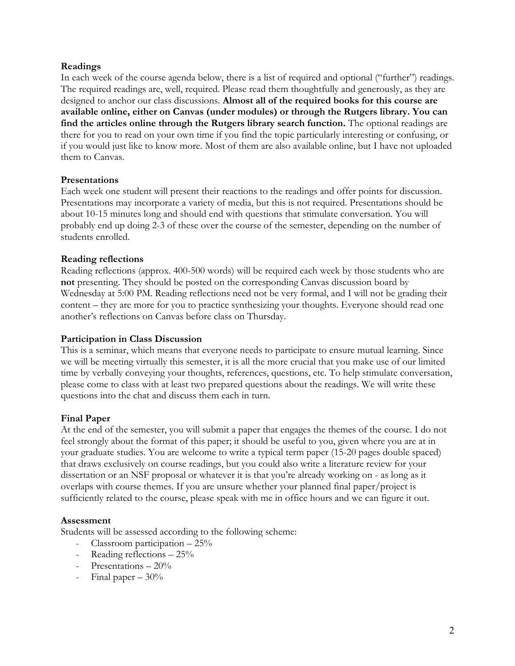#### **Readings**

In each week of the course agenda below, there is a list of required and optional ("further") readings. The required readings are, well, required. Please read them thoughtfully and generously, as they are designed to anchor our class discussions. **Almost all of the required books for this course are available online, either on Canvas (under modules) or through the Rutgers library. You can find the articles online through the Rutgers library search function.** The optional readings are there for you to read on your own time if you find the topic particularly interesting or confusing, or if you would just like to know more. Most of them are also available online, but I have not uploaded them to Canvas.

#### **Presentations**

Each week one student will present their reactions to the readings and offer points for discussion. Presentations may incorporate a variety of media, but this is not required. Presentations should be about 10-15 minutes long and should end with questions that stimulate conversation. You will probably end up doing 2-3 of these over the course of the semester, depending on the number of students enrolled.

#### **Reading reflections**

Reading reflections (approx. 400-500 words) will be required each week by those students who are **not** presenting. They should be posted on the corresponding Canvas discussion board by Wednesday at 5:00 PM. Reading reflections need not be very formal, and I will not be grading their content – they are more for you to practice synthesizing your thoughts. Everyone should read one another's reflections on Canvas before class on Thursday.

#### **Participation in Class Discussion**

This is a seminar, which means that everyone needs to participate to ensure mutual learning. Since we will be meeting virtually this semester, it is all the more crucial that you make use of our limited time by verbally conveying your thoughts, references, questions, etc. To help stimulate conversation, please come to class with at least two prepared questions about the readings. We will write these questions into the chat and discuss them each in turn.

#### **Final Paper**

At the end of the semester, you will submit a paper that engages the themes of the course. I do not feel strongly about the format of this paper; it should be useful to you, given where you are at in your graduate studies. You are welcome to write a typical term paper (15-20 pages double spaced) that draws exclusively on course readings, but you could also write a literature review for your dissertation or an NSF proposal or whatever it is that you're already working on - as long as it overlaps with course themes. If you are unsure whether your planned final paper/project is sufficiently related to the course, please speak with me in office hours and we can figure it out.

#### **Assessment**

Students will be assessed according to the following scheme:

- Classroom participation 25%
- Reading reflections  $25\%$
- Presentations 20%
- Final paper 30%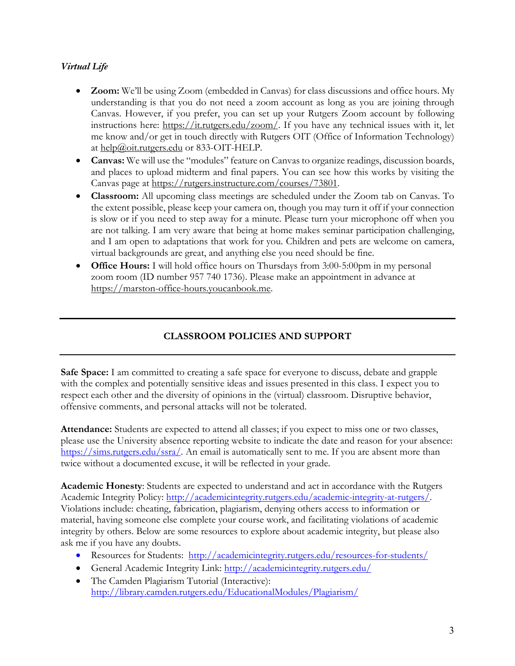## *Virtual Life*

- **Zoom:** We'll be using Zoom (embedded in Canvas) for class discussions and office hours. My understanding is that you do not need a zoom account as long as you are joining through Canvas. However, if you prefer, you can set up your Rutgers Zoom account by following instructions here: https://it.rutgers.edu/zoom/. If you have any technical issues with it, let me know and/or get in touch directly with Rutgers OIT (Office of Information Technology) at help@oit.rutgers.edu or 833-OIT-HELP.
- **Canvas:** We will use the "modules" feature on Canvas to organize readings, discussion boards, and places to upload midterm and final papers. You can see how this works by visiting the Canvas page at https://rutgers.instructure.com/courses/73801.
- **Classroom:** All upcoming class meetings are scheduled under the Zoom tab on Canvas. To the extent possible, please keep your camera on, though you may turn it off if your connection is slow or if you need to step away for a minute. Please turn your microphone off when you are not talking. I am very aware that being at home makes seminar participation challenging, and I am open to adaptations that work for you. Children and pets are welcome on camera, virtual backgrounds are great, and anything else you need should be fine.
- **Office Hours:** I will hold office hours on Thursdays from 3:00-5:00pm in my personal zoom room (ID number 957 740 1736). Please make an appointment in advance at https://marston-office-hours.youcanbook.me.

# **CLASSROOM POLICIES AND SUPPORT**

**Safe Space:** I am committed to creating a safe space for everyone to discuss, debate and grapple with the complex and potentially sensitive ideas and issues presented in this class. I expect you to respect each other and the diversity of opinions in the (virtual) classroom. Disruptive behavior, offensive comments, and personal attacks will not be tolerated.

**Attendance:** Students are expected to attend all classes; if you expect to miss one or two classes, please use the University absence reporting website to indicate the date and reason for your absence: https://sims.rutgers.edu/ssra/. An email is automatically sent to me. If you are absent more than twice without a documented excuse, it will be reflected in your grade.

**Academic Honesty**: Students are expected to understand and act in accordance with the Rutgers Academic Integrity Policy: http://academicintegrity.rutgers.edu/academic-integrity-at-rutgers/. Violations include: cheating, fabrication, plagiarism, denying others access to information or material, having someone else complete your course work, and facilitating violations of academic integrity by others. Below are some resources to explore about academic integrity, but please also ask me if you have any doubts.

- Resources for Students: http://academicintegrity.rutgers.edu/resources-for-students/
- General Academic Integrity Link: http://academicintegrity.rutgers.edu/
- The Camden Plagiarism Tutorial (Interactive): http://library.camden.rutgers.edu/EducationalModules/Plagiarism/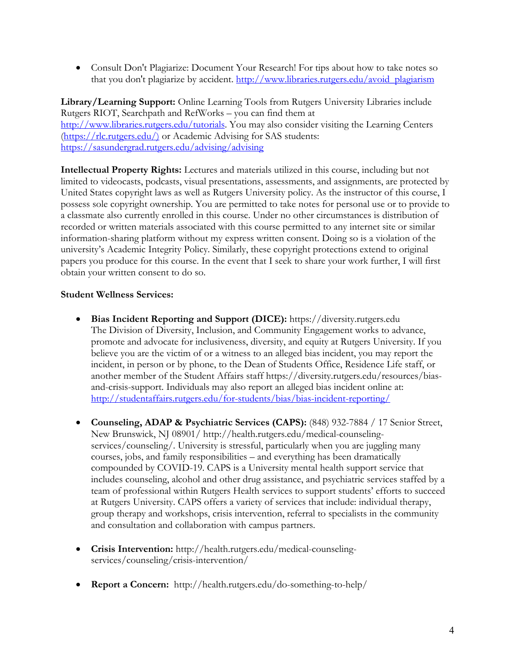• Consult Don't Plagiarize: Document Your Research! For tips about how to take notes so that you don't plagiarize by accident. http://www.libraries.rutgers.edu/avoid\_plagiarism

**Library/Learning Support:** Online Learning Tools from Rutgers University Libraries include Rutgers RIOT, Searchpath and RefWorks – you can find them at http://www.libraries.rutgers.edu/tutorials. You may also consider visiting the Learning Centers (https://rlc.rutgers.edu/) or Academic Advising for SAS students: https://sasundergrad.rutgers.edu/advising/advising

**Intellectual Property Rights:** Lectures and materials utilized in this course, including but not limited to videocasts, podcasts, visual presentations, assessments, and assignments, are protected by United States copyright laws as well as Rutgers University policy. As the instructor of this course, I possess sole copyright ownership. You are permitted to take notes for personal use or to provide to a classmate also currently enrolled in this course. Under no other circumstances is distribution of recorded or written materials associated with this course permitted to any internet site or similar information-sharing platform without my express written consent. Doing so is a violation of the university's Academic Integrity Policy. Similarly, these copyright protections extend to original papers you produce for this course. In the event that I seek to share your work further, I will first obtain your written consent to do so.

#### **Student Wellness Services:**

- **Bias Incident Reporting and Support (DICE):** https://diversity.rutgers.edu The Division of Diversity, Inclusion, and Community Engagement works to advance, promote and advocate for inclusiveness, diversity, and equity at Rutgers University. If you believe you are the victim of or a witness to an alleged bias incident, you may report the incident, in person or by phone, to the Dean of Students Office, Residence Life staff, or another member of the Student Affairs staff https://diversity.rutgers.edu/resources/biasand-crisis-support. Individuals may also report an alleged bias incident online at: http://studentaffairs.rutgers.edu/for-students/bias/bias-incident-reporting/
- **Counseling, ADAP & Psychiatric Services (CAPS):** (848) 932-7884 / 17 Senior Street, New Brunswick, NJ 08901/ http://health.rutgers.edu/medical-counselingservices/counseling/. University is stressful, particularly when you are juggling many courses, jobs, and family responsibilities – and everything has been dramatically compounded by COVID-19. CAPS is a University mental health support service that includes counseling, alcohol and other drug assistance, and psychiatric services staffed by a team of professional within Rutgers Health services to support students' efforts to succeed at Rutgers University. CAPS offers a variety of services that include: individual therapy, group therapy and workshops, crisis intervention, referral to specialists in the community and consultation and collaboration with campus partners.
- **Crisis Intervention:** http://health.rutgers.edu/medical-counselingservices/counseling/crisis-intervention/
- **Report a Concern:** http://health.rutgers.edu/do-something-to-help/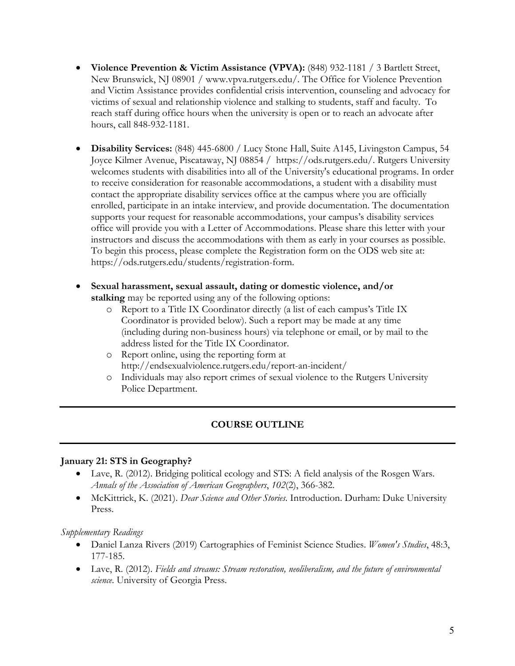- **Violence Prevention & Victim Assistance (VPVA):** (848) 932-1181 / 3 Bartlett Street, New Brunswick, NJ 08901 / www.vpva.rutgers.edu/. The Office for Violence Prevention and Victim Assistance provides confidential crisis intervention, counseling and advocacy for victims of sexual and relationship violence and stalking to students, staff and faculty. To reach staff during office hours when the university is open or to reach an advocate after hours, call 848-932-1181.
- **Disability Services:** (848) 445-6800 / Lucy Stone Hall, Suite A145, Livingston Campus, 54 Joyce Kilmer Avenue, Piscataway, NJ 08854 / https://ods.rutgers.edu/. Rutgers University welcomes students with disabilities into all of the University's educational programs. In order to receive consideration for reasonable accommodations, a student with a disability must contact the appropriate disability services office at the campus where you are officially enrolled, participate in an intake interview, and provide documentation. The documentation supports your request for reasonable accommodations, your campus's disability services office will provide you with a Letter of Accommodations. Please share this letter with your instructors and discuss the accommodations with them as early in your courses as possible. To begin this process, please complete the Registration form on the ODS web site at: https://ods.rutgers.edu/students/registration-form.
- **Sexual harassment, sexual assault, dating or domestic violence, and/or stalking** may be reported using any of the following options:
	- o Report to a Title IX Coordinator directly (a list of each campus's Title IX Coordinator is provided below). Such a report may be made at any time (including during non-business hours) via telephone or email, or by mail to the address listed for the Title IX Coordinator.
	- o Report online, using the reporting form at http://endsexualviolence.rutgers.edu/report-an-incident/
	- o Individuals may also report crimes of sexual violence to the Rutgers University Police Department.

# **COURSE OUTLINE**

#### **January 21: STS in Geography?**

- Lave, R. (2012). Bridging political ecology and STS: A field analysis of the Rosgen Wars. *Annals of the Association of American Geographers*, *102*(2), 366-382.
- McKittrick, K. (2021). *Dear Science and Other Stories*. Introduction. Durham: Duke University Press.

- Daniel Lanza Rivers (2019) Cartographies of Feminist Science Studies. *Women's Studies*, 48:3, 177-185.
- Lave, R. (2012). *Fields and streams: Stream restoration, neoliberalism, and the future of environmental science*. University of Georgia Press.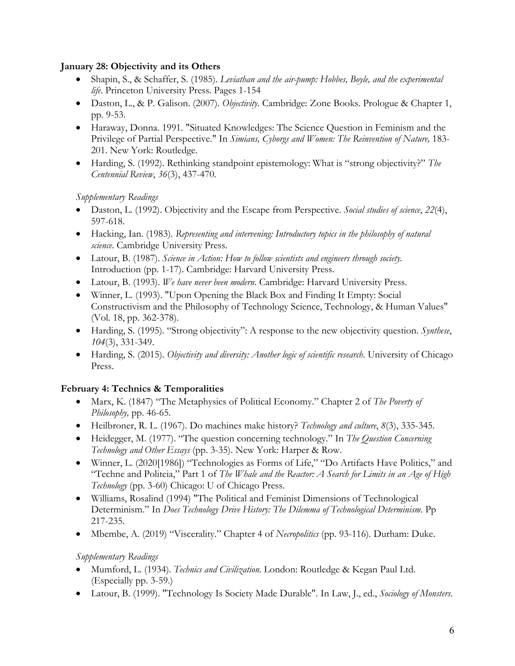### **January 28: Objectivity and its Others**

- Shapin, S., & Schaffer, S. (1985). *Leviathan and the air-pump: Hobbes, Boyle, and the experimental life*. Princeton University Press. Pages 1-154
- Daston, L., & P. Galison. (2007). *Objectivity*. Cambridge: Zone Books. Prologue & Chapter 1, pp. 9-53.
- Haraway, Donna. 1991. "Situated Knowledges: The Science Question in Feminism and the Privilege of Partial Perspective." In *Simians, Cyborgs and Women: The Reinvention of Nature,* 183- 201. New York: Routledge.
- Harding, S. (1992). Rethinking standpoint epistemology: What is "strong objectivity?" *The Centennial Review*, *36*(3), 437-470.

## *Supplementary Readings*

- Daston, L. (1992). Objectivity and the Escape from Perspective. *Social studies of science*, *22*(4), 597-618.
- Hacking, Ian. (1983). *Representing and intervening: Introductory topics in the philosophy of natural science*. Cambridge University Press.
- Latour, B. (1987). *Science in Action: How to follow scientists and engineers through society.*  Introduction (pp. 1-17). Cambridge: Harvard University Press.
- Latour, B. (1993). *We have never been modern*. Cambridge: Harvard University Press.
- Winner, L. (1993). "Upon Opening the Black Box and Finding It Empty: Social Constructivism and the Philosophy of Technology Science, Technology, & Human Values" (Vol. 18, pp. 362-378).
- Harding, S. (1995). "Strong objectivity": A response to the new objectivity question. *Synthese*, *104*(3), 331-349.
- Harding, S. (2015). *Objectivity and diversity: Another logic of scientific research*. University of Chicago Press.

# **February 4: Technics & Temporalities**

- Marx, K. (1847) "The Metaphysics of Political Economy." Chapter 2 of *The Poverty of Philosophy,* pp. 46-65.
- Heilbroner, R. L. (1967). Do machines make history? *Technology and culture*, *8*(3), 335-345.
- Heidegger, M. (1977). "The question concerning technology." In *The Question Concerning Technology and Other Essays* (pp. 3-35). New York: Harper & Row.
- Winner, L. (2020[1986]) "Technologies as Forms of Life," "Do Artifacts Have Politics," and "Techne and Politeia," Part 1 of *The Whale and the Reactor: A Search for Limits in an Age of High Technology* (pp. 3-60) Chicago: U of Chicago Press.
- Williams, Rosalind (1994) "The Political and Feminist Dimensions of Technological Determinism." In *Does Technology Drive History: The Dilemma of Technological Determinism*. Pp 217-235.
- Mbembe, A. (2019) "Viscerality." Chapter 4 of *Necropolitics* (pp. 93-116)*.* Durham: Duke.

- Mumford, L. (1934). *Technics and Civilization.* London: Routledge & Kegan Paul Ltd. (Especially pp. 3-59.)
- Latour, B. (1999). "Technology Is Society Made Durable". In Law, J., ed., *Sociology of Monsters*.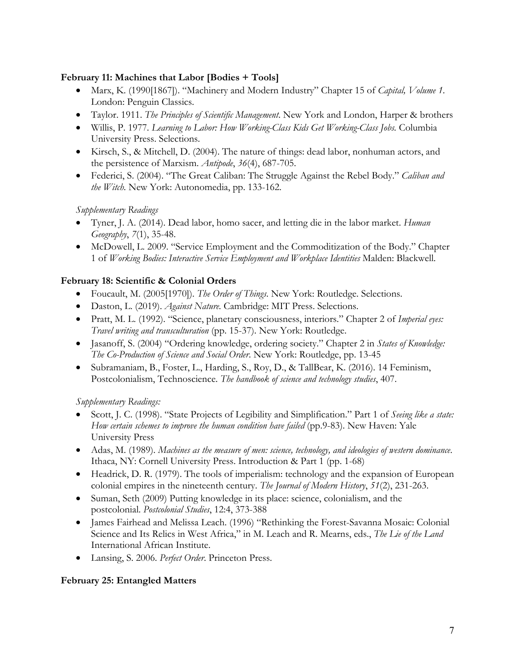### **February 11: Machines that Labor [Bodies + Tools]**

- Marx, K. (1990[1867]). "Machinery and Modern Industry" Chapter 15 of *Capital, Volume 1.*  London: Penguin Classics.
- Taylor. 1911. *The Principles of Scientific Management*. New York and London, Harper & brothers
- Willis, P. 1977. *Learning to Labor: How Working-Class Kids Get Working-Class Jobs.* Columbia University Press. Selections.
- Kirsch, S., & Mitchell, D. (2004). The nature of things: dead labor, nonhuman actors, and the persistence of Marxism. *Antipode*, *36*(4), 687-705.
- Federici, S. (2004). "The Great Caliban: The Struggle Against the Rebel Body." *Caliban and the Witch.* New York: Autonomedia, pp. 133-162.

### *Supplementary Readings*

- Tyner, J. A. (2014). Dead labor, homo sacer, and letting die in the labor market. *Human Geography*, *7*(1), 35-48.
- McDowell, L. 2009. "Service Employment and the Commoditization of the Body." Chapter 1 of *Working Bodies: Interactive Service Employment and Workplace Identities* Malden: Blackwell.

### **February 18: Scientific & Colonial Orders**

- Foucault, M. (2005[1970]). *The Order of Things*. New York: Routledge. Selections.
- Daston, L. (2019). *Against Nature.* Cambridge: MIT Press. Selections.
- Pratt, M. L. (1992). "Science, planetary consciousness, interiors." Chapter 2 of *Imperial eyes: Travel writing and transculturation* (pp. 15-37). New York: Routledge.
- Jasanoff, S. (2004) "Ordering knowledge, ordering society." Chapter 2 in *States of Knowledge: The Co-Production of Science and Social Order*. New York: Routledge, pp. 13-45
- Subramaniam, B., Foster, L., Harding, S., Roy, D., & TallBear, K. (2016). 14 Feminism, Postcolonialism, Technoscience. *The handbook of science and technology studies*, 407.

### *Supplementary Readings:*

- Scott, J. C. (1998). "State Projects of Legibility and Simplification." Part 1 of *Seeing like a state: How certain schemes to improve the human condition have failed* (pp.9-83). New Haven: Yale University Press
- Adas, M. (1989). *Machines as the measure of men: science, technology, and ideologies of western dominance*. Ithaca, NY: Cornell University Press. Introduction & Part 1 (pp. 1-68)
- Headrick, D. R. (1979). The tools of imperialism: technology and the expansion of European colonial empires in the nineteenth century. *The Journal of Modern History*, *51*(2), 231-263.
- Suman, Seth (2009) Putting knowledge in its place: science, colonialism, and the postcolonial. *Postcolonial Studies*, 12:4, 373-388
- James Fairhead and Melissa Leach. (1996) "Rethinking the Forest-Savanna Mosaic: Colonial Science and Its Relics in West Africa," in M. Leach and R. Mearns, eds., *The Lie of the Land* International African Institute.
- Lansing, S. 2006. *Perfect Order*. Princeton Press.

### **February 25: Entangled Matters**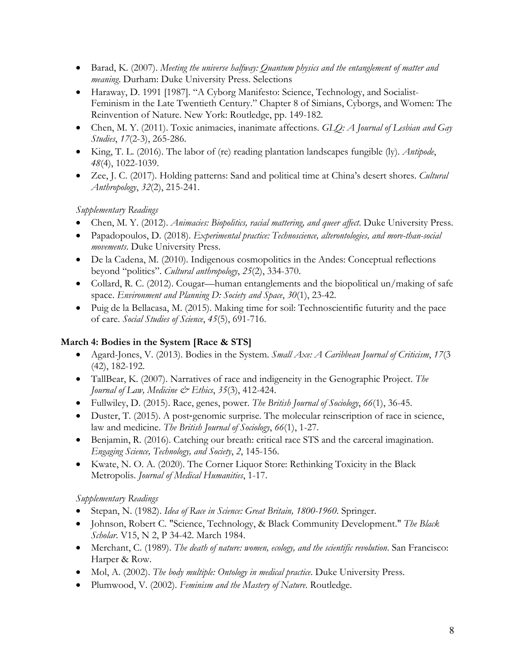- Barad, K. (2007). *Meeting the universe halfway: Quantum physics and the entanglement of matter and meaning*. Durham: Duke University Press. Selections
- Haraway, D. 1991 [1987]. "A Cyborg Manifesto: Science, Technology, and Socialist-Feminism in the Late Twentieth Century." Chapter 8 of Simians, Cyborgs, and Women: The Reinvention of Nature. New York: Routledge, pp. 149-182.
- Chen, M. Y. (2011). Toxic animacies, inanimate affections. *GLQ: A Journal of Lesbian and Gay Studies*, *17*(2-3), 265-286.
- King, T. L. (2016). The labor of (re) reading plantation landscapes fungible (ly). *Antipode*, *48*(4), 1022-1039.
- Zee, J. C. (2017). Holding patterns: Sand and political time at China's desert shores. *Cultural Anthropology*, *32*(2), 215-241.

*Supplementary Readings*

- Chen, M. Y. (2012). *Animacies: Biopolitics, racial mattering, and queer affect*. Duke University Press.
- Papadopoulos, D. (2018). *Experimental practice: Technoscience, alterontologies, and more-than-social movements*. Duke University Press.
- De la Cadena, M. (2010). Indigenous cosmopolitics in the Andes: Conceptual reflections beyond "politics". *Cultural anthropology*, *25*(2), 334-370.
- Collard, R. C. (2012). Cougar—human entanglements and the biopolitical un/making of safe space. *Environment and Planning D: Society and Space*, *30*(1), 23-42.
- Puig de la Bellacasa, M. (2015). Making time for soil: Technoscientific futurity and the pace of care. *Social Studies of Science*, *45*(5), 691-716.

# **March 4: Bodies in the System [Race & STS]**

- Agard-Jones, V. (2013). Bodies in the System. *Small Axe: A Caribbean Journal of Criticism*, *17*(3 (42), 182-192.
- TallBear, K. (2007). Narratives of race and indigeneity in the Genographic Project. *The Journal of Law, Medicine & Ethics*, *35*(3), 412-424.
- Fullwiley, D. (2015). Race, genes, power. *The British Journal of Sociology*, *66*(1), 36-45.
- Duster, T. (2015). A post-genomic surprise. The molecular reinscription of race in science, law and medicine. *The British Journal of Sociology*, *66*(1), 1-27.
- Benjamin, R. (2016). Catching our breath: critical race STS and the carceral imagination. *Engaging Science, Technology, and Society*, *2*, 145-156.
- Kwate, N. O. A. (2020). The Corner Liquor Store: Rethinking Toxicity in the Black Metropolis. *Journal of Medical Humanities*, 1-17.

- Stepan, N. (1982). *Idea of Race in Science: Great Britain, 1800-1960*. Springer.
- Johnson, Robert C. "Science, Technology, & Black Community Development." *The Black Scholar*. V15, N 2, P 34-42. March 1984.
- Merchant, C. (1989). *The death of nature: women, ecology, and the scientific revolution*. San Francisco: Harper & Row.
- Mol, A. (2002). *The body multiple: Ontology in medical practice*. Duke University Press.
- Plumwood, V. (2002). *Feminism and the Mastery of Nature*. Routledge.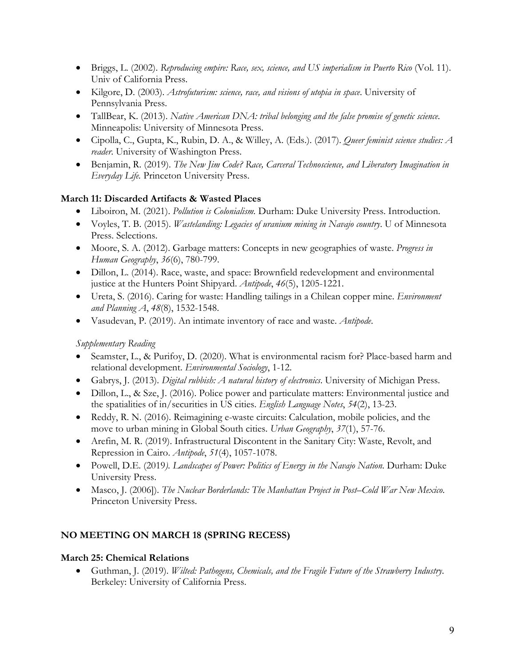- Briggs, L. (2002). *Reproducing empire: Race, sex, science, and US imperialism in Puerto Rico* (Vol. 11). Univ of California Press.
- Kilgore, D. (2003). *Astrofuturism: science, race, and visions of utopia in space*. University of Pennsylvania Press.
- TallBear, K. (2013). *Native American DNA: tribal belonging and the false promise of genetic science*. Minneapolis: University of Minnesota Press.
- Cipolla, C., Gupta, K., Rubin, D. A., & Willey, A. (Eds.). (2017). *Queer feminist science studies: A reader*. University of Washington Press.
- Benjamin, R. (2019). *The New Jim Code? Race, Carceral Technoscience, and Liberatory Imagination in Everyday Life.* Princeton University Press.

# **March 11: Discarded Artifacts & Wasted Places**

- Liboiron, M. (2021). *Pollution is Colonialism.* Durham: Duke University Press. Introduction.
- Voyles, T. B. (2015). *Wastelanding: Legacies of uranium mining in Navajo country*. U of Minnesota Press. Selections.
- Moore, S. A. (2012). Garbage matters: Concepts in new geographies of waste. *Progress in Human Geography*, *36*(6), 780-799.
- Dillon, L. (2014). Race, waste, and space: Brownfield redevelopment and environmental justice at the Hunters Point Shipyard. *Antipode*, *46*(5), 1205-1221.
- Ureta, S. (2016). Caring for waste: Handling tailings in a Chilean copper mine. *Environment and Planning A*, *48*(8), 1532-1548.
- Vasudevan, P. (2019). An intimate inventory of race and waste. *Antipode*.

# *Supplementary Reading*

- Seamster, L., & Purifoy, D. (2020). What is environmental racism for? Place-based harm and relational development. *Environmental Sociology*, 1-12.
- Gabrys, J. (2013). *Digital rubbish: A natural history of electronics*. University of Michigan Press.
- Dillon, L., & Sze, J. (2016). Police power and particulate matters: Environmental justice and the spatialities of in/securities in US cities. *English Language Notes*, *54*(2), 13-23.
- Reddy, R. N. (2016). Reimagining e-waste circuits: Calculation, mobile policies, and the move to urban mining in Global South cities. *Urban Geography*, *37*(1), 57-76.
- Arefin, M. R. (2019). Infrastructural Discontent in the Sanitary City: Waste, Revolt, and Repression in Cairo. *Antipode*, *51*(4), 1057-1078.
- Powell, D.E. (2019*). Landscapes of Power: Politics of Energy in the Navajo Nation*. Durham: Duke University Press.
- Masco, J. (2006]). *The Nuclear Borderlands: The Manhattan Project in Post–Cold War New Mexico*. Princeton University Press.

# **NO MEETING ON MARCH 18 (SPRING RECESS)**

# **March 25: Chemical Relations**

• Guthman, J. (2019). *Wilted: Pathogens, Chemicals, and the Fragile Future of the Strawberry Industry*. Berkeley: University of California Press.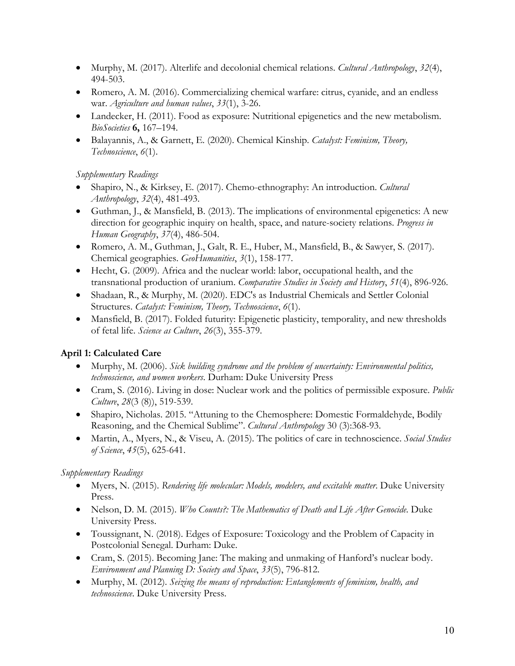- Murphy, M. (2017). Alterlife and decolonial chemical relations. *Cultural Anthropology*, *32*(4), 494-503.
- Romero, A. M. (2016). Commercializing chemical warfare: citrus, cyanide, and an endless war. *Agriculture and human values*, *33*(1), 3-26.
- Landecker, H. (2011). Food as exposure: Nutritional epigenetics and the new metabolism. *BioSocieties* **6,** 167–194.
- Balayannis, A., & Garnett, E. (2020). Chemical Kinship. *Catalyst: Feminism, Theory, Technoscience*, *6*(1).

*Supplementary Readings*

- Shapiro, N., & Kirksey, E. (2017). Chemo-ethnography: An introduction. *Cultural Anthropology*, *32*(4), 481-493.
- Guthman, J., & Mansfield, B. (2013). The implications of environmental epigenetics: A new direction for geographic inquiry on health, space, and nature-society relations. *Progress in Human Geography*, *37*(4), 486-504.
- Romero, A. M., Guthman, J., Galt, R. E., Huber, M., Mansfield, B., & Sawyer, S. (2017). Chemical geographies. *GeoHumanities*, *3*(1), 158-177.
- Hecht, G. (2009). Africa and the nuclear world: labor, occupational health, and the transnational production of uranium. *Comparative Studies in Society and History*, *51*(4), 896-926.
- Shadaan, R., & Murphy, M. (2020). EDC's as Industrial Chemicals and Settler Colonial Structures. *Catalyst: Feminism, Theory, Technoscience*, *6*(1).
- Mansfield, B. (2017). Folded futurity: Epigenetic plasticity, temporality, and new thresholds of fetal life. *Science as Culture*, *26*(3), 355-379.

# **April 1: Calculated Care**

- Murphy, M. (2006). *Sick building syndrome and the problem of uncertainty: Environmental politics, technoscience, and women workers*. Durham: Duke University Press
- Cram, S. (2016). Living in dose: Nuclear work and the politics of permissible exposure. *Public Culture*, *28*(3 (8)), 519-539.
- Shapiro, Nicholas. 2015. "Attuning to the Chemosphere: Domestic Formaldehyde, Bodily Reasoning, and the Chemical Sublime". *Cultural Anthropology* 30 (3):368-93.
- Martin, A., Myers, N., & Viseu, A. (2015). The politics of care in technoscience. *Social Studies of Science*, *45*(5), 625-641.

- Myers, N. (2015). *Rendering life molecular: Models, modelers, and excitable matter*. Duke University Press.
- Nelson, D. M. (2015). *Who Counts?: The Mathematics of Death and Life After Genocide*. Duke University Press.
- Toussignant, N. (2018). Edges of Exposure: Toxicology and the Problem of Capacity in Postcolonial Senegal. Durham: Duke.
- Cram, S. (2015). Becoming Jane: The making and unmaking of Hanford's nuclear body. *Environment and Planning D: Society and Space*, *33*(5), 796-812.
- Murphy, M. (2012). *Seizing the means of reproduction: Entanglements of feminism, health, and technoscience*. Duke University Press.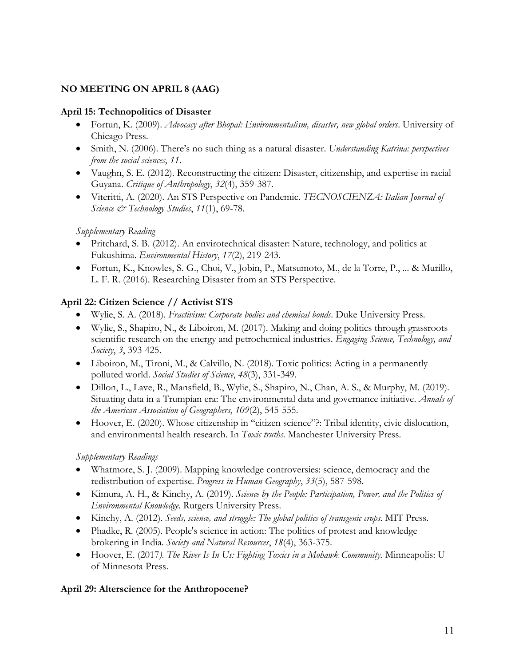## **NO MEETING ON APRIL 8 (AAG)**

### **April 15: Technopolitics of Disaster**

- Fortun, K. (2009). *Advocacy after Bhopal: Environmentalism, disaster, new global orders*. University of Chicago Press.
- Smith, N. (2006). There's no such thing as a natural disaster. *Understanding Katrina: perspectives from the social sciences*, *11*.
- Vaughn, S. E. (2012). Reconstructing the citizen: Disaster, citizenship, and expertise in racial Guyana. *Critique of Anthropology*, *32*(4), 359-387.
- Viteritti, A. (2020). An STS Perspective on Pandemic. *TECNOSCIENZA: Italian Journal of Science & Technology Studies*, *11*(1), 69-78.

### *Supplementary Reading*

- Pritchard, S. B. (2012). An envirotechnical disaster: Nature, technology, and politics at Fukushima. *Environmental History*, *17*(2), 219-243.
- Fortun, K., Knowles, S. G., Choi, V., Jobin, P., Matsumoto, M., de la Torre, P., ... & Murillo, L. F. R. (2016). Researching Disaster from an STS Perspective.

### **April 22: Citizen Science // Activist STS**

- Wylie, S. A. (2018). *Fractivism: Corporate bodies and chemical bonds*. Duke University Press.
- Wylie, S., Shapiro, N., & Liboiron, M. (2017). Making and doing politics through grassroots scientific research on the energy and petrochemical industries. *Engaging Science, Technology, and Society*, *3*, 393-425.
- Liboiron, M., Tironi, M., & Calvillo, N. (2018). Toxic politics: Acting in a permanently polluted world. *Social Studies of Science*, *48*(3), 331-349.
- Dillon, L., Lave, R., Mansfield, B., Wylie, S., Shapiro, N., Chan, A. S., & Murphy, M. (2019). Situating data in a Trumpian era: The environmental data and governance initiative. *Annals of the American Association of Geographers*, *109*(2), 545-555.
- Hoover, E. (2020). Whose citizenship in "citizen science"?: Tribal identity, civic dislocation, and environmental health research. In *Toxic truths*. Manchester University Press.

### *Supplementary Readings*

- Whatmore, S. J. (2009). Mapping knowledge controversies: science, democracy and the redistribution of expertise. *Progress in Human Geography*, *33*(5), 587-598.
- Kimura, A. H., & Kinchy, A. (2019). *Science by the People: Participation, Power, and the Politics of Environmental Knowledge*. Rutgers University Press.
- Kinchy, A. (2012). *Seeds, science, and struggle: The global politics of transgenic crops*. MIT Press.
- Phadke, R. (2005). People's science in action: The politics of protest and knowledge brokering in India. *Society and Natural Resources*, *18*(4), 363-375.
- Hoover, E. (2017*). The River Is In Us: Fighting Toxics in a Mohawk Community.* Minneapolis: U of Minnesota Press.

### **April 29: Alterscience for the Anthropocene?**